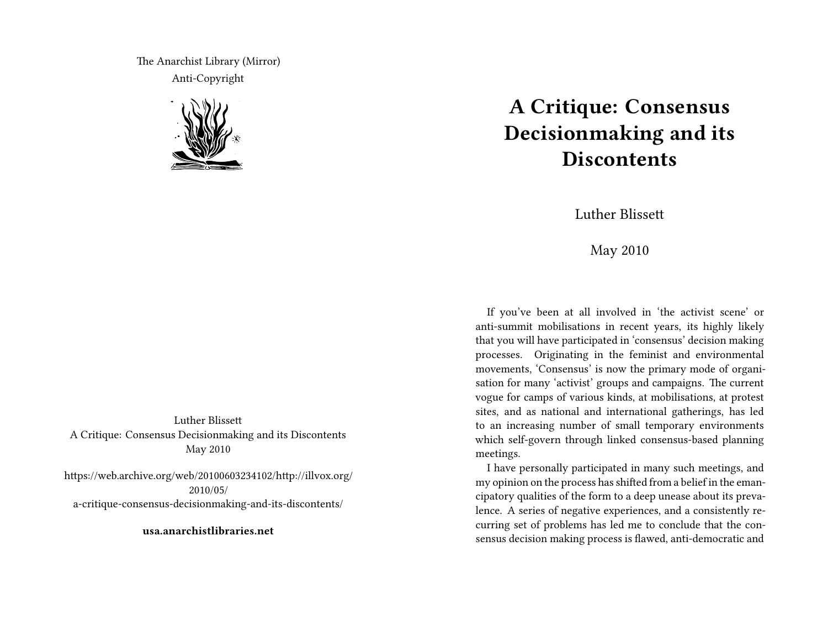The Anarchist Library (Mirror) Anti-Copyright



Luther Blissett A Critique: Consensus Decisionmaking and its Discontents May 2010

https://web.archive.org/web/20100603234102/http://illvox.org/ 2010/05/ a-critique-consensus-decisionmaking-and-its-discontents/

**usa.anarchistlibraries.net**

## **A Critique: Consensus Decisionmaking and its Discontents**

Luther Blissett

May 2010

If you've been at all involved in 'the activist scene' or anti-summit mobilisations in recent years, its highly likely that you will have participated in 'consensus' decision making processes. Originating in the feminist and environmental movements, 'Consensus' is now the primary mode of organisation for many 'activist' groups and campaigns. The current vogue for camps of various kinds, at mobilisations, at protest sites, and as national and international gatherings, has led to an increasing number of small temporary environments which self-govern through linked consensus-based planning meetings.

I have personally participated in many such meetings, and my opinion on the process has shifted from a belief in the emancipatory qualities of the form to a deep unease about its prevalence. A series of negative experiences, and a consistently recurring set of problems has led me to conclude that the consensus decision making process is flawed, anti-democratic and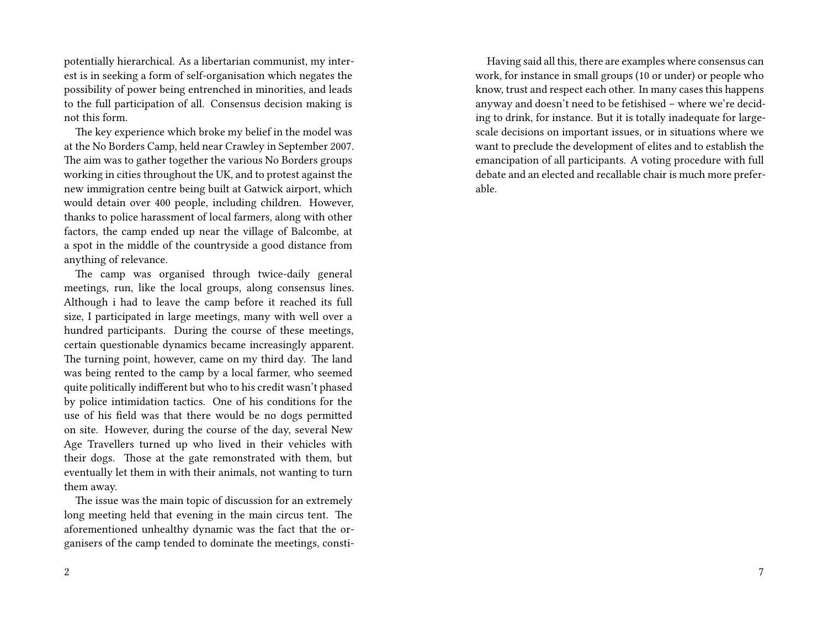potentially hierarchical. As a libertarian communist, my interest is in seeking a form of self-organisation which negates the possibility of power being entrenched in minorities, and leads to the full participation of all. Consensus decision making is not this form.

The key experience which broke my belief in the model was at the No Borders Camp, held near Crawley in September 2007. The aim was to gather together the various No Borders groups working in cities throughout the UK, and to protest against the new immigration centre being built at Gatwick airport, which would detain over 400 people, including children. However, thanks to police harassment of local farmers, along with other factors, the camp ended up near the village of Balcombe, at a spot in the middle of the countryside a good distance from anything of relevance.

The camp was organised through twice-daily general meetings, run, like the local groups, along consensus lines. Although i had to leave the camp before it reached its full size, I participated in large meetings, many with well over a hundred participants. During the course of these meetings, certain questionable dynamics became increasingly apparent. The turning point, however, came on my third day. The land was being rented to the camp by a local farmer, who seemed quite politically indifferent but who to his credit wasn't phased by police intimidation tactics. One of his conditions for the use of his field was that there would be no dogs permitted on site. However, during the course of the day, several New Age Travellers turned up who lived in their vehicles with their dogs. Those at the gate remonstrated with them, but eventually let them in with their animals, not wanting to turn them away.

The issue was the main topic of discussion for an extremely long meeting held that evening in the main circus tent. The aforementioned unhealthy dynamic was the fact that the organisers of the camp tended to dominate the meetings, consti-

Having said all this, there are examples where consensus can work, for instance in small groups (10 or under) or people who know, trust and respect each other. In many cases this happens anyway and doesn't need to be fetishised – where we're deciding to drink, for instance. But it is totally inadequate for largescale decisions on important issues, or in situations where we want to preclude the development of elites and to establish the emancipation of all participants. A voting procedure with full debate and an elected and recallable chair is much more preferable.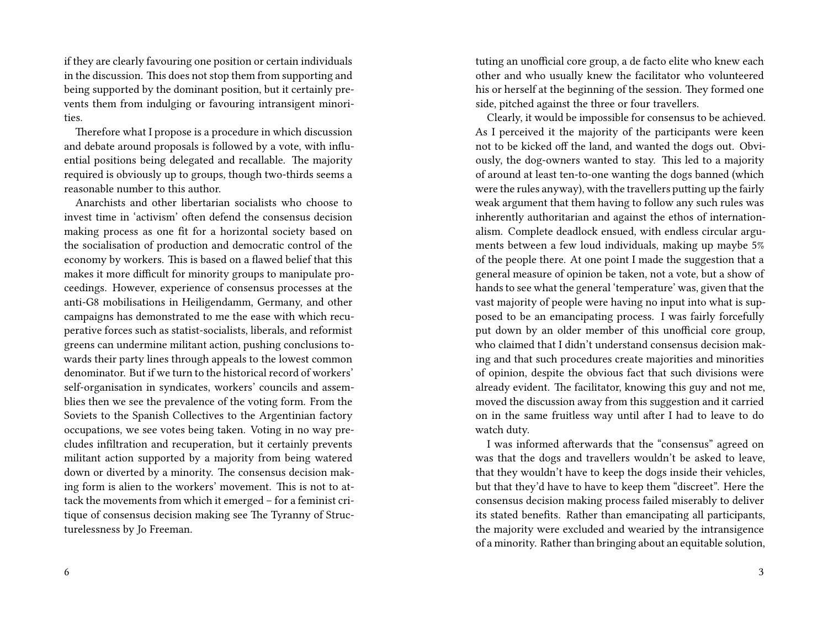if they are clearly favouring one position or certain individuals in the discussion. This does not stop them from supporting and being supported by the dominant position, but it certainly prevents them from indulging or favouring intransigent minorities.

Therefore what I propose is a procedure in which discussion and debate around proposals is followed by a vote, with influential positions being delegated and recallable. The majority required is obviously up to groups, though two-thirds seems a reasonable number to this author.

Anarchists and other libertarian socialists who choose to invest time in 'activism' often defend the consensus decision making process as one fit for a horizontal society based on the socialisation of production and democratic control of the economy by workers. This is based on a flawed belief that this makes it more difficult for minority groups to manipulate proceedings. However, experience of consensus processes at the anti-G8 mobilisations in Heiligendamm, Germany, and other campaigns has demonstrated to me the ease with which recuperative forces such as statist-socialists, liberals, and reformist greens can undermine militant action, pushing conclusions towards their party lines through appeals to the lowest common denominator. But if we turn to the historical record of workers' self-organisation in syndicates, workers' councils and assemblies then we see the prevalence of the voting form. From the Soviets to the Spanish Collectives to the Argentinian factory occupations, we see votes being taken. Voting in no way precludes infiltration and recuperation, but it certainly prevents militant action supported by a majority from being watered down or diverted by a minority. The consensus decision making form is alien to the workers' movement. This is not to attack the movements from which it emerged – for a feminist critique of consensus decision making see The Tyranny of Structurelessness by Jo Freeman.

tuting an unofficial core group, a de facto elite who knew each other and who usually knew the facilitator who volunteered his or herself at the beginning of the session. They formed one side, pitched against the three or four travellers.

Clearly, it would be impossible for consensus to be achieved. As I perceived it the majority of the participants were keen not to be kicked off the land, and wanted the dogs out. Obviously, the dog-owners wanted to stay. This led to a majority of around at least ten-to-one wanting the dogs banned (which were the rules anyway), with the travellers putting up the fairly weak argument that them having to follow any such rules was inherently authoritarian and against the ethos of internationalism. Complete deadlock ensued, with endless circular arguments between a few loud individuals, making up maybe 5% of the people there. At one point I made the suggestion that a general measure of opinion be taken, not a vote, but a show of hands to see what the general 'temperature' was, given that the vast majority of people were having no input into what is supposed to be an emancipating process. I was fairly forcefully put down by an older member of this unofficial core group, who claimed that I didn't understand consensus decision making and that such procedures create majorities and minorities of opinion, despite the obvious fact that such divisions were already evident. The facilitator, knowing this guy and not me, moved the discussion away from this suggestion and it carried on in the same fruitless way until after I had to leave to do watch duty.

I was informed afterwards that the "consensus" agreed on was that the dogs and travellers wouldn't be asked to leave, that they wouldn't have to keep the dogs inside their vehicles, but that they'd have to have to keep them "discreet". Here the consensus decision making process failed miserably to deliver its stated benefits. Rather than emancipating all participants, the majority were excluded and wearied by the intransigence of a minority. Rather than bringing about an equitable solution,